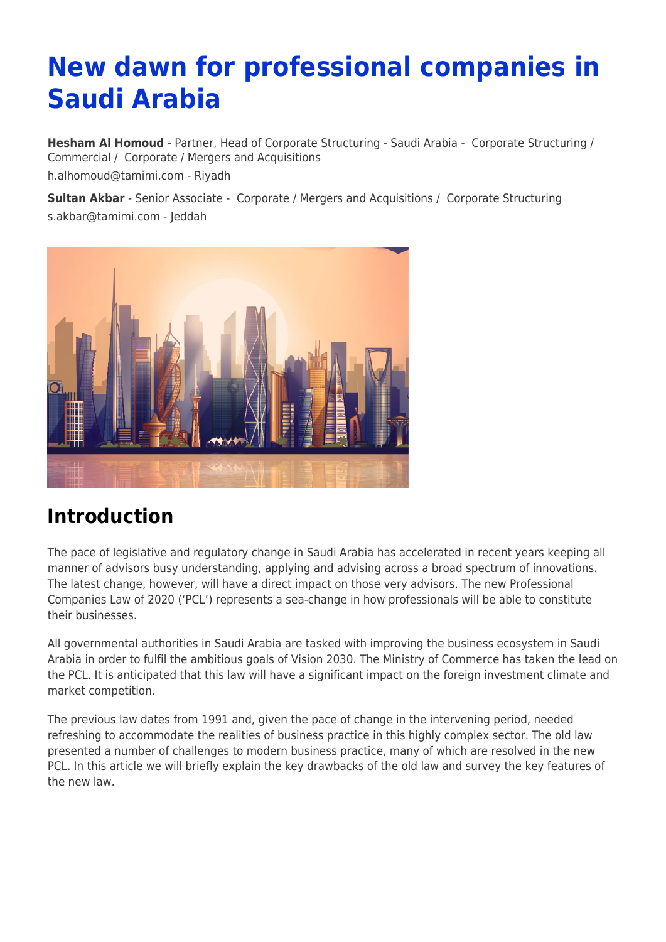# **New dawn for professional companies in Saudi Arabia**

**[Hesham Al Homoud](https://www.tamimi.com/find-a-lawyer/hesham-al-homoud/)** - Partner, Head of Corporate Structuring - Saudi Arabia - [Corporate Structuring](https://www.tamimi.com/client-services/practices/corporate-structuring/) / [Commercial](https://www.tamimi.com/client-services/practices/commercial/) / [Corporate / Mergers and Acquisitions](https://www.tamimi.com/client-services/practices/corporate-mergers-acquisitions/) [h.alhomoud@tamimi.com](mailto:h.alhomoud@tamimi.com) - [Riyadh](https://www.tamimi.com/locations/saudi-arabia/)

**[Sultan Akbar](https://www.tamimi.com/find-a-lawyer/sultan-akbar/)** - Senior Associate - [Corporate / Mergers and Acquisitions](https://www.tamimi.com/client-services/practices/corporate-mergers-acquisitions/) / [Corporate Structuring](https://www.tamimi.com/client-services/practices/corporate-structuring/) [s.akbar@tamimi.com](mailto:s.akbar@tamimi.com) - [Jeddah](https://www.tamimi.com/locations/saudi-arabia/)



#### **Introduction**

The pace of legislative and regulatory change in Saudi Arabia has accelerated in recent years keeping all manner of advisors busy understanding, applying and advising across a broad spectrum of innovations. The latest change, however, will have a direct impact on those very advisors. The new Professional Companies Law of 2020 ('PCL') represents a sea-change in how professionals will be able to constitute their businesses.

All governmental authorities in Saudi Arabia are tasked with improving the business ecosystem in Saudi Arabia in order to fulfil the ambitious goals of Vision 2030. The Ministry of Commerce has taken the lead on the PCL. It is anticipated that this law will have a significant impact on the foreign investment climate and market competition.

The previous law dates from 1991 and, given the pace of change in the intervening period, needed refreshing to accommodate the realities of business practice in this highly complex sector. The old law presented a number of challenges to modern business practice, many of which are resolved in the new PCL. In this article we will briefly explain the key drawbacks of the old law and survey the key features of the new law.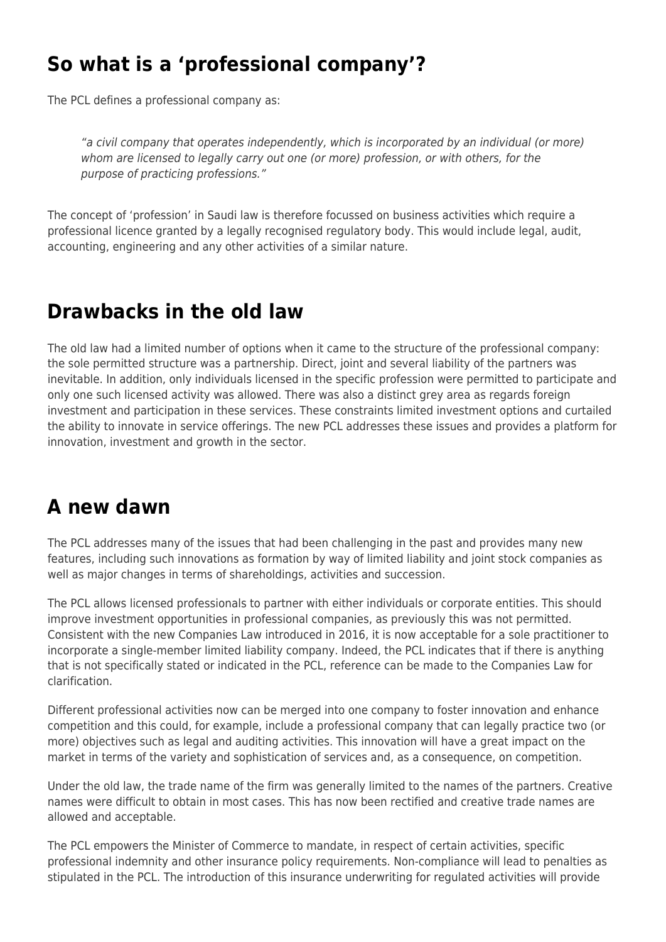### **So what is a 'professional company'?**

The PCL defines a professional company as:

"a civil company that operates independently, which is incorporated by an individual (or more) whom are licensed to legally carry out one (or more) profession, or with others, for the purpose of practicing professions."

The concept of 'profession' in Saudi law is therefore focussed on business activities which require a professional licence granted by a legally recognised regulatory body. This would include legal, audit, accounting, engineering and any other activities of a similar nature.

### **Drawbacks in the old law**

The old law had a limited number of options when it came to the structure of the professional company: the sole permitted structure was a partnership. Direct, joint and several liability of the partners was inevitable. In addition, only individuals licensed in the specific profession were permitted to participate and only one such licensed activity was allowed. There was also a distinct grey area as regards foreign investment and participation in these services. These constraints limited investment options and curtailed the ability to innovate in service offerings. The new PCL addresses these issues and provides a platform for innovation, investment and growth in the sector.

#### **A new dawn**

The PCL addresses many of the issues that had been challenging in the past and provides many new features, including such innovations as formation by way of limited liability and joint stock companies as well as major changes in terms of shareholdings, activities and succession.

The PCL allows licensed professionals to partner with either individuals or corporate entities. This should improve investment opportunities in professional companies, as previously this was not permitted. Consistent with the new Companies Law introduced in 2016, it is now acceptable for a sole practitioner to incorporate a single-member limited liability company. Indeed, the PCL indicates that if there is anything that is not specifically stated or indicated in the PCL, reference can be made to the Companies Law for clarification.

Different professional activities now can be merged into one company to foster innovation and enhance competition and this could, for example, include a professional company that can legally practice two (or more) objectives such as legal and auditing activities. This innovation will have a great impact on the market in terms of the variety and sophistication of services and, as a consequence, on competition.

Under the old law, the trade name of the firm was generally limited to the names of the partners. Creative names were difficult to obtain in most cases. This has now been rectified and creative trade names are allowed and acceptable.

The PCL empowers the Minister of Commerce to mandate, in respect of certain activities, specific professional indemnity and other insurance policy requirements. Non-compliance will lead to penalties as stipulated in the PCL. The introduction of this insurance underwriting for regulated activities will provide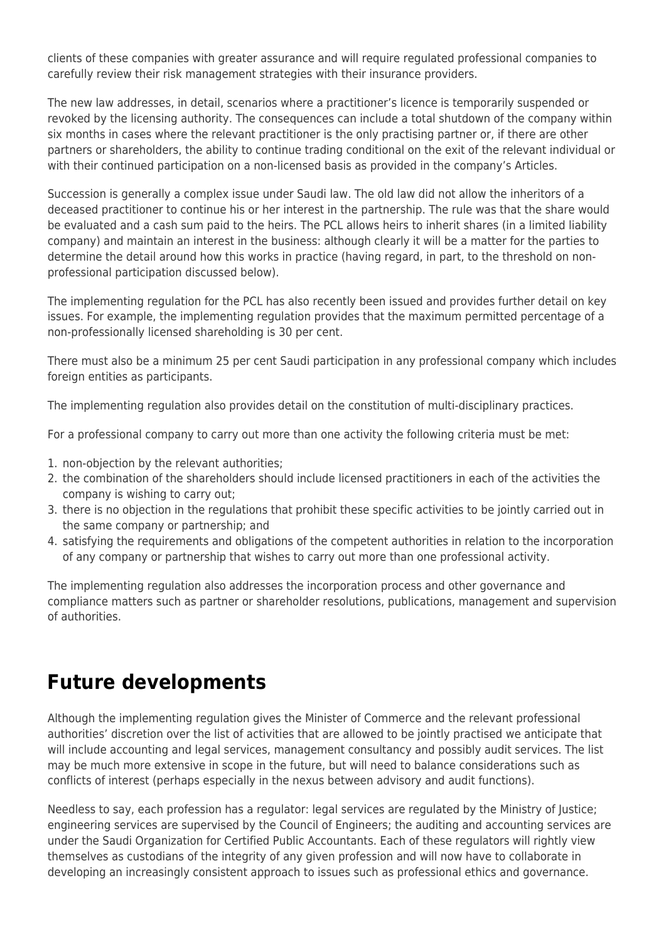clients of these companies with greater assurance and will require regulated professional companies to carefully review their risk management strategies with their insurance providers.

The new law addresses, in detail, scenarios where a practitioner's licence is temporarily suspended or revoked by the licensing authority. The consequences can include a total shutdown of the company within six months in cases where the relevant practitioner is the only practising partner or, if there are other partners or shareholders, the ability to continue trading conditional on the exit of the relevant individual or with their continued participation on a non-licensed basis as provided in the company's Articles.

Succession is generally a complex issue under Saudi law. The old law did not allow the inheritors of a deceased practitioner to continue his or her interest in the partnership. The rule was that the share would be evaluated and a cash sum paid to the heirs. The PCL allows heirs to inherit shares (in a limited liability company) and maintain an interest in the business: although clearly it will be a matter for the parties to determine the detail around how this works in practice (having regard, in part, to the threshold on nonprofessional participation discussed below).

The implementing regulation for the PCL has also recently been issued and provides further detail on key issues. For example, the implementing regulation provides that the maximum permitted percentage of a non-professionally licensed shareholding is 30 per cent.

There must also be a minimum 25 per cent Saudi participation in any professional company which includes foreign entities as participants.

The implementing regulation also provides detail on the constitution of multi-disciplinary practices.

For a professional company to carry out more than one activity the following criteria must be met:

- 1. non-objection by the relevant authorities;
- 2. the combination of the shareholders should include licensed practitioners in each of the activities the company is wishing to carry out;
- 3. there is no objection in the regulations that prohibit these specific activities to be jointly carried out in the same company or partnership; and
- 4. satisfying the requirements and obligations of the competent authorities in relation to the incorporation of any company or partnership that wishes to carry out more than one professional activity.

The implementing regulation also addresses the incorporation process and other governance and compliance matters such as partner or shareholder resolutions, publications, management and supervision of authorities.

#### **Future developments**

Although the implementing regulation gives the Minister of Commerce and the relevant professional authorities' discretion over the list of activities that are allowed to be jointly practised we anticipate that will include accounting and legal services, management consultancy and possibly audit services. The list may be much more extensive in scope in the future, but will need to balance considerations such as conflicts of interest (perhaps especially in the nexus between advisory and audit functions).

Needless to say, each profession has a regulator: legal services are regulated by the Ministry of Justice; engineering services are supervised by the Council of Engineers; the auditing and accounting services are under the Saudi Organization for Certified Public Accountants. Each of these regulators will rightly view themselves as custodians of the integrity of any given profession and will now have to collaborate in developing an increasingly consistent approach to issues such as professional ethics and governance.